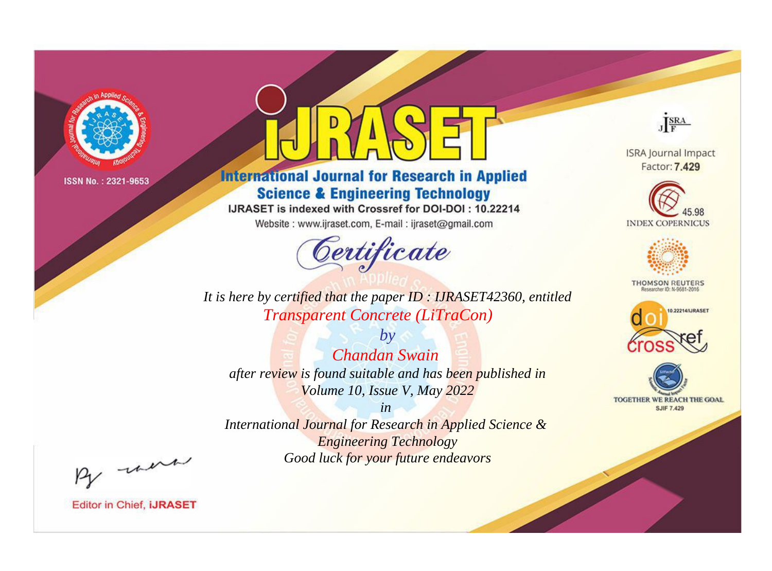

# **International Journal for Research in Applied Science & Engineering Technology**

IJRASET is indexed with Crossref for DOI-DOI: 10.22214

Website: www.ijraset.com, E-mail: ijraset@gmail.com



**ISRA Journal Impact** Factor: 7.429

JERA





**THOMSON REUTERS** 



TOGETHER WE REACH THE GOAL **SJIF 7.429** 

It is here by certified that the paper ID: IJRASET42360, entitled **Transparent Concrete (LiTraCon)** 

 $b\nu$ **Chandan Swain** after review is found suitable and has been published in Volume 10, Issue V, May 2022

 $in$ International Journal for Research in Applied Science & **Engineering Technology** Good luck for your future endeavors

By morn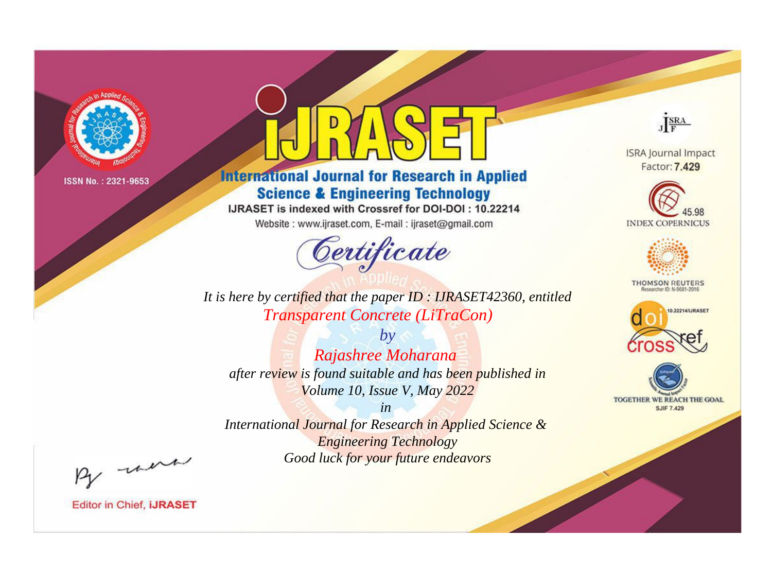

# **International Journal for Research in Applied Science & Engineering Technology**

IJRASET is indexed with Crossref for DOI-DOI: 10.22214

Website: www.ijraset.com, E-mail: ijraset@gmail.com



JERA

**ISRA Journal Impact** Factor: 7.429





**THOMSON REUTERS** 



TOGETHER WE REACH THE GOAL **SJIF 7.429** 

It is here by certified that the paper ID: IJRASET42360, entitled **Transparent Concrete (LiTraCon)** 

 $by$ Rajashree Moharana after review is found suitable and has been published in Volume 10, Issue V, May 2022

 $in$ International Journal for Research in Applied Science & **Engineering Technology** Good luck for your future endeavors

By morn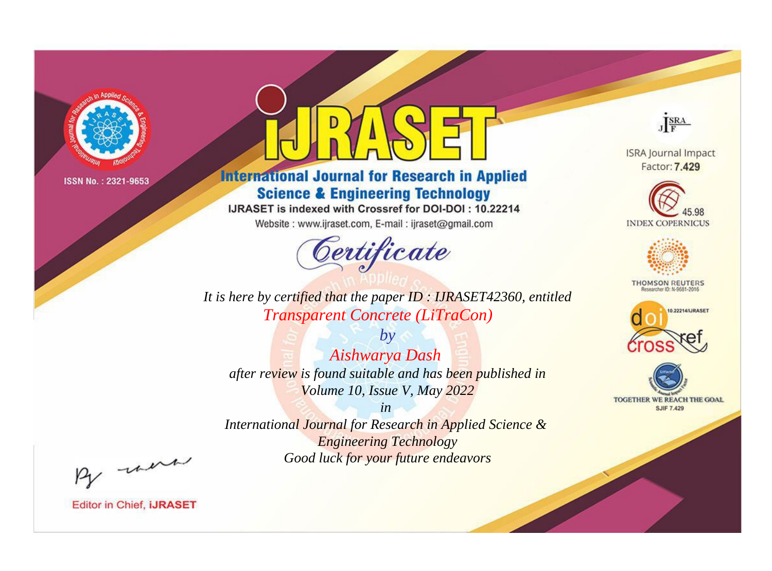

# **International Journal for Research in Applied Science & Engineering Technology**

IJRASET is indexed with Crossref for DOI-DOI: 10.22214

Website: www.ijraset.com, E-mail: ijraset@gmail.com



**ISRA Journal Impact** 

JERA

Factor: 7.429





**THOMSON REUTERS** 



TOGETHER WE REACH THE GOAL **SJIF 7.429** 

*It is here by certified that the paper ID : IJRASET42360, entitled Transparent Concrete (LiTraCon)*

*by Aishwarya Dash after review is found suitable and has been published in Volume 10, Issue V, May 2022*

*in* 

*International Journal for Research in Applied Science & Engineering Technology Good luck for your future endeavors*

By morn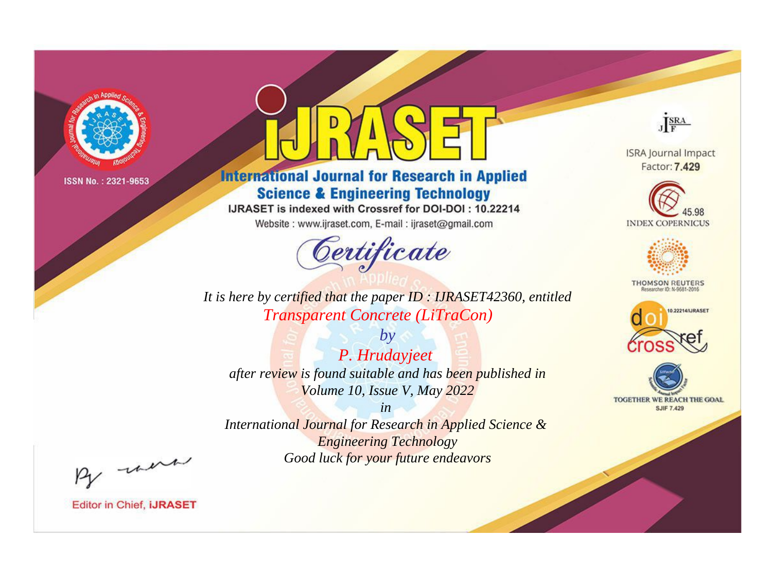

# **International Journal for Research in Applied Science & Engineering Technology**

IJRASET is indexed with Crossref for DOI-DOI: 10.22214

Website: www.ijraset.com, E-mail: ijraset@gmail.com



**ISRA Journal Impact** Factor: 7.429

JERA





**THOMSON REUTERS** 



TOGETHER WE REACH THE GOAL **SJIF 7.429** 

*It is here by certified that the paper ID : IJRASET42360, entitled Transparent Concrete (LiTraCon)*

*by P. Hrudayjeet after review is found suitable and has been published in Volume 10, Issue V, May 2022*

*in* 

*International Journal for Research in Applied Science & Engineering Technology Good luck for your future endeavors*

By morn